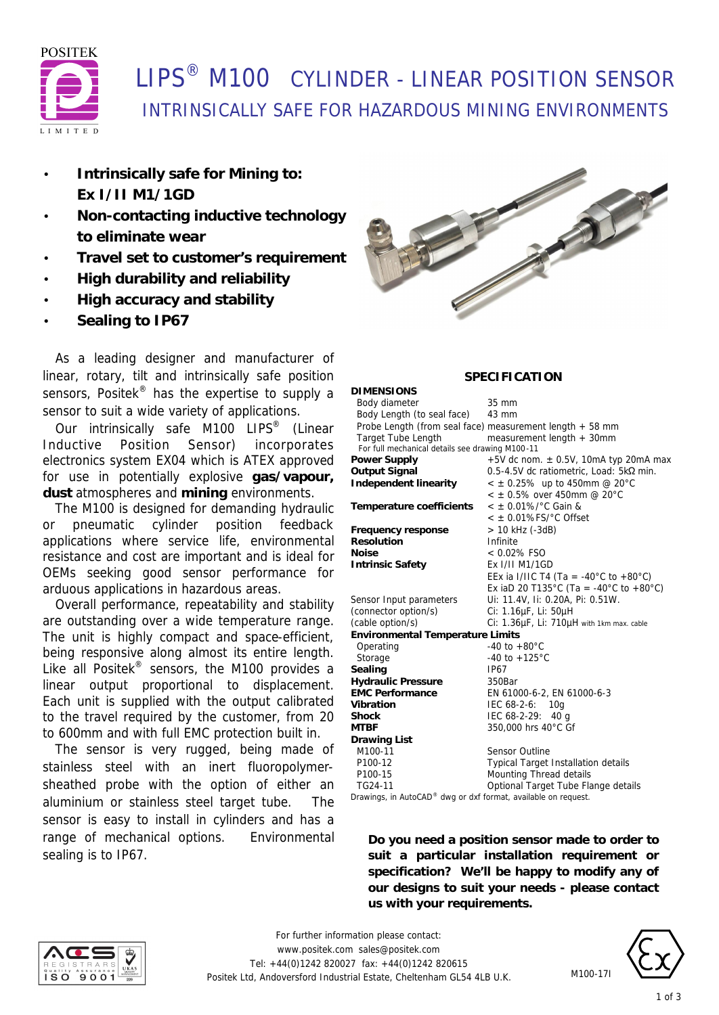

## LIPS® M100 CYLINDER - LINEAR POSITION SENSOR INTRINSICALLY SAFE FOR HAZARDOUS MINING ENVIRONMENTS

- **Intrinsically safe for Mining to: Ex I/II M1/1GD**
- **Non-contacting inductive technology to eliminate wear**
- **Travel set to customer's requirement**
- **High durability and reliability**
- **High accuracy and stability**
- **Sealing to IP67**

 As a leading designer and manufacturer of linear, rotary, tilt and intrinsically safe position sensors, Positek<sup>®</sup> has the expertise to supply a sensor to suit a wide variety of applications.

Our intrinsically safe M100 LIPS® (Linear Inductive Position Sensor) incorporates electronics system EX04 which is ATEX approved for use in potentially explosive **gas/vapour, dust** atmospheres and **mining** environments.

 The M100 is designed for demanding hydraulic pneumatic cylinder position feedback applications where service life, environmental resistance and cost are important and is ideal for OEMs seeking good sensor performance for arduous applications in hazardous areas.

 Overall performance, repeatability and stability are outstanding over a wide temperature range. The unit is highly compact and space-efficient, being responsive along almost its entire length. Like all Positek® sensors, the M100 provides a linear output proportional to displacement. Each unit is supplied with the output calibrated to the travel required by the customer, from 20 to 600mm and with full EMC protection built in.

 The sensor is very rugged, being made of stainless steel with an inert fluoropolymersheathed probe with the option of either an aluminium or stainless steel target tube. The sensor is easy to install in cylinders and has a range of mechanical options. Environmental sealing is to IP67.



### **SPECIFICATION**

| <b>DIMENSIONS</b>                                              |                                                          |
|----------------------------------------------------------------|----------------------------------------------------------|
| Body diameter                                                  | 35 mm                                                    |
| Body Length (to seal face)                                     | 43 mm                                                    |
|                                                                | Probe Length (from seal face) measurement length + 58 mm |
| <b>Target Tube Length</b>                                      | measurement length + 30mm                                |
| For full mechanical details see drawing M100-11                |                                                          |
| Power Supply                                                   | $+5V$ dc nom. $\pm$ 0.5V, 10mA typ 20mA max              |
| Output Signal                                                  | 0.5-4.5V dc ratiometric, Load: 5kΩ min.                  |
| Independent linearity                                          | $<$ ± 0.25% up to 450mm @ 20°C                           |
|                                                                | $<$ ± 0.5% over 450mm @ 20°C                             |
| Temperature coefficients                                       | $<$ ± 0.01%/°C Gain &                                    |
|                                                                | $<$ ± 0.01%FS/ $^{\circ}$ C Offset                       |
| Frequency response                                             | > 10 kHz (-3dB)                                          |
| Resolution                                                     | Infinite                                                 |
| Noise                                                          | $< 0.02\%$ FSO                                           |
| <b>Intrinsic Safety</b>                                        | Ex I/II M1/1GD                                           |
|                                                                | EEx ia I/IIC T4 (Ta = -40°C to +80°C)                    |
|                                                                | Ex iaD 20 T135°C (Ta = -40°C to +80°C)                   |
| Sensor Input parameters                                        | Ui: 11.4V, Ii: 0.20A, Pi: 0.51W.                         |
| (connector option/s)                                           | Ci: 1.16µF, Li: 50µH                                     |
| (cable option/s)                                               | Ci: 1.36µF, Li: 710µH with 1km max. cable                |
| <b>Environmental Temperature Limits</b>                        |                                                          |
| Operating                                                      | $-40$ to $+80^{\circ}$ C                                 |
| Storage                                                        | -40 to $+125^{\circ}$ C                                  |
| Sealing                                                        | <b>IP67</b>                                              |
| <b>Hydraulic Pressure</b>                                      | 350Bar                                                   |
| <b>EMC Performance</b>                                         | EN 61000-6-2, EN 61000-6-3                               |
| Vibration                                                      | IEC 68-2-6:<br>10q                                       |
| <b>Shock</b>                                                   | IEC $68-2-29$ : 40 g                                     |
| MTBF                                                           | 350,000 hrs 40°C Gf                                      |
| <b>Drawing List</b>                                            |                                                          |
| M100-11                                                        | <b>Sensor Outline</b>                                    |
| P100-12                                                        | <b>Typical Target Installation details</b>               |
| P100-15                                                        | Mounting Thread details                                  |
| TG24-11                                                        | Optional Target Tube Flange details                      |
| Drawings, in AutoCAD® dwg or dxf format, available on request. |                                                          |

**Do you need a position sensor made to order to suit a particular installation requirement or specification? We'll be happy to modify any of our designs to suit your needs - please contact us with your requirements.**



*For further information please contact:* www.positek.com sales@positek.com Tel: +44(0)1242 820027 fax: +44(0)1242 820615 Positek Ltd, Andoversford Industrial Estate, Cheltenham GL54 4LB U.K.



M100-17I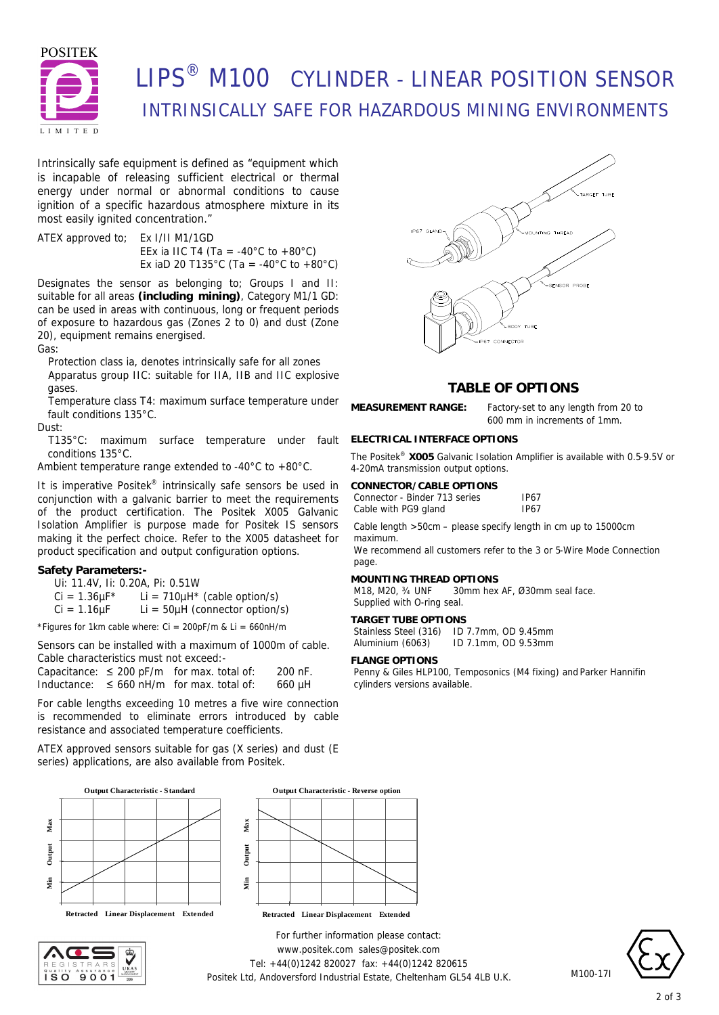

# LIPS® M100 CYLINDER - LINEAR POSITION SENSOR INTRINSICALLY SAFE FOR HAZARDOUS MINING ENVIRONMENTS

Intrinsically safe equipment is defined as *"equipment which is incapable of releasing sufficient electrical or thermal energy under normal or abnormal conditions to cause ignition of a specific hazardous atmosphere mixture in its most easily ignited concentration."*

ATEX approved to; Ex I/II M1/1GD EEx ia IIC T4 (Ta = -40°C to +80°C) Ex iaD 20 T135°C (Ta = -40°C to +80°C)

Designates the sensor as belonging to; Groups I and II: suitable for all areas **(including mining)**, Category M1/1 GD: can be used in areas with continuous, long or frequent periods of exposure to hazardous gas (Zones 2 to 0) and dust (Zone 20), equipment remains energised.

Gas:

Protection class ia, denotes intrinsically safe for all zones Apparatus group IIC: suitable for IIA, IIB and IIC explosive gases.

Temperature class T4: maximum surface temperature under fault conditions 135°C.

Dust:

T135°C: maximum surface temperature under fault conditions 135°C.

Ambient temperature range extended to -40°C to +80°C.

It is imperative Positek<sup>®</sup> intrinsically safe sensors be used in conjunction with a galvanic barrier to meet the requirements of the product certification. The Positek X005 Galvanic Isolation Amplifier is purpose made for Positek IS sensors making it the perfect choice. Refer to the X005 datasheet for product specification and output configuration options.

#### **Safety Parameters:-**

Ui: 11.4V, Ii: 0.20A, Pi: 0.51W

 $Ci = 1.36 \mu F^*$  Li = 710 $\mu$ H<sup>\*</sup> (cable option/s)

 $Ci = 1.16 \mu F$  Li = 50 $\mu$ H (connector option/s)

\*Figures for 1km cable where:  $Ci = 200pF/m$  &  $Li = 660nH/m$ 

Sensors can be installed with a maximum of 1000m of cable. Cable characteristics must not exceed:-

Capacitance:  $\leq 200$  pF/m for max. total of: 200 nF. Inductance:  $\leq 660$  nH/m for max. total of: 660 µH

For cable lengths exceeding 10 metres a five wire connection is recommended to eliminate errors introduced by cable resistance and associated temperature coefficients.

ATEX approved sensors suitable for gas (X series) and dust (E series) applications, are also available from Positek.









#### **ELECTRICAL INTERFACE OPTIONS**

The Positek® **X005** Galvanic Isolation Amplifier is available with 0.5-9.5V or 4-20mA transmission output options.

| CONNECTOR/CABLE OPTIONS       |             |  |
|-------------------------------|-------------|--|
| Connector - Binder 713 series | <b>IP67</b> |  |
| Cable with PG9 gland          | <b>IP67</b> |  |

Cable length >50cm – please specify length in cm up to 15000cm maximum.

We recommend all customers refer to the 3 or 5-Wire Mode Connection page.

#### **MOUNTING THREAD OPTIONS**

M18, M20, ¾ UNF 30mm hex AF, Ø30mm seal face. Supplied with O-ring seal.

#### **TARGET TUBE OPTIONS**

Stainless Steel (316) ID 7.7mm, OD 9.45mm Aluminium (6063) ID 7.1mm, OD 9.53mm

#### **FLANGE OPTIONS**

Penny & Giles HLP100, Temposonics (M4 fixing) and Parker Hannifin cylinders versions available.



M100-17I

*For further information please contact:* www.positek.com sales@positek.com Tel: +44(0)1242 820027 fax: +44(0)1242 820615 Positek Ltd, Andoversford Industrial Estate, Cheltenham GL54 4LB U.K.